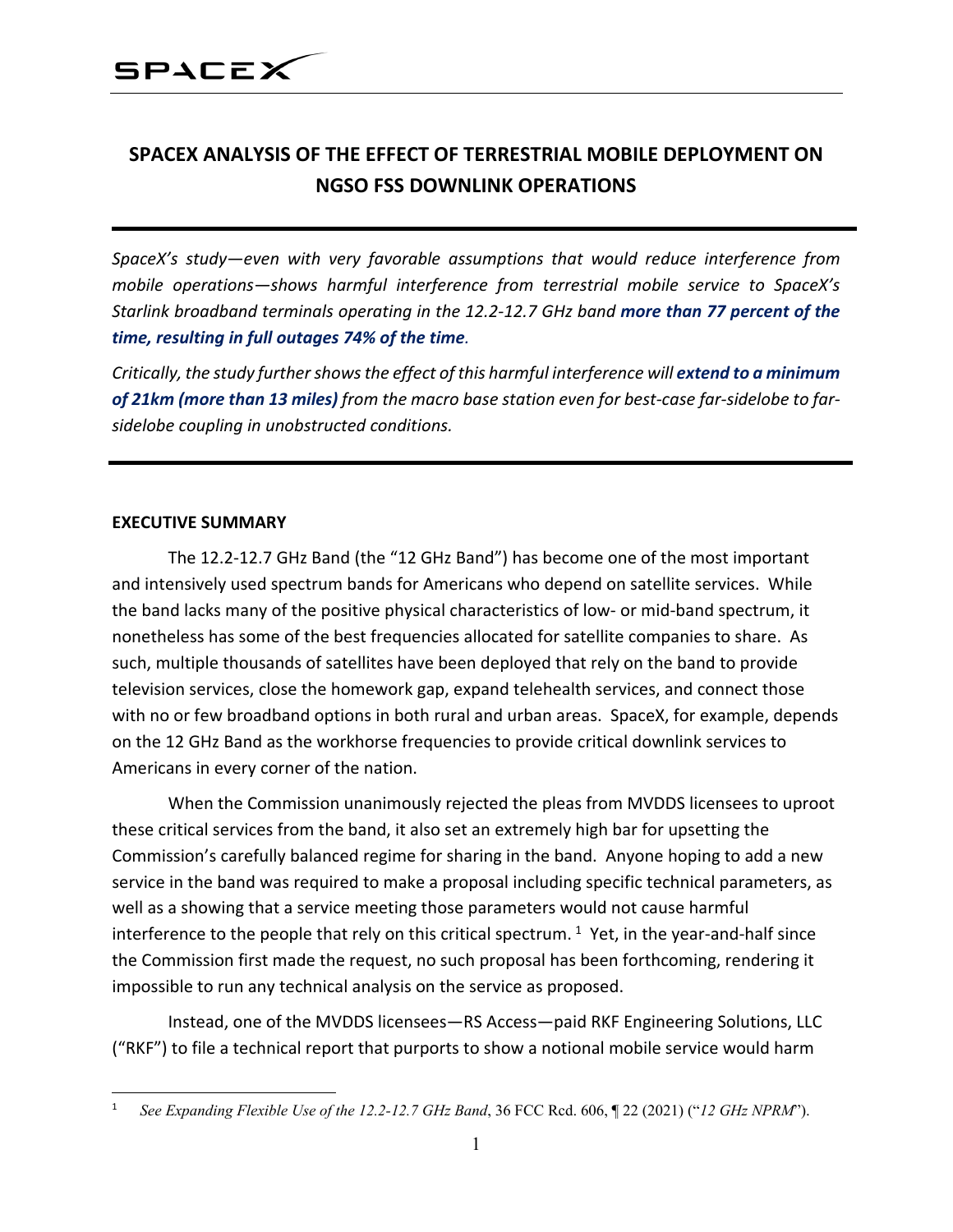### **SPACEX ANALYSIS OF THE EFFECT OF TERRESTRIAL MOBILE DEPLOYMENT ON NGSO FSS DOWNLINK OPERATIONS**

*SpaceX's study—even with very favorable assumptions that would reduce interference from mobile operations—shows harmful interference from terrestrial mobile service to SpaceX's Starlink broadband terminals operating in the 12.2-12.7 GHz band more than 77 percent of the time, resulting in full outages 74% of the time.*

*Critically, the study further shows the effect of this harmful interference will extend to a minimum of 21km (more than 13 miles) from the macro base station even for best-case far-sidelobe to farsidelobe coupling in unobstructed conditions.*

#### **EXECUTIVE SUMMARY**

The 12.2-12.7 GHz Band (the "12 GHz Band") has become one of the most important and intensively used spectrum bands for Americans who depend on satellite services. While the band lacks many of the positive physical characteristics of low- or mid-band spectrum, it nonetheless has some of the best frequencies allocated for satellite companies to share. As such, multiple thousands of satellites have been deployed that rely on the band to provide television services, close the homework gap, expand telehealth services, and connect those with no or few broadband options in both rural and urban areas. SpaceX, for example, depends on the 12 GHz Band as the workhorse frequencies to provide critical downlink services to Americans in every corner of the nation.

When the Commission unanimously rejected the pleas from MVDDS licensees to uproot these critical services from the band, it also set an extremely high bar for upsetting the Commission's carefully balanced regime for sharing in the band. Anyone hoping to add a new service in the band was required to make a proposal including specific technical parameters, as well as a showing that a service meeting those parameters would not cause harmful interference to the people that rely on this critical spectrum.  $1$  Yet, in the year-and-half since the Commission first made the request, no such proposal has been forthcoming, rendering it impossible to run any technical analysis on the service as proposed.

Instead, one of the MVDDS licensees—RS Access—paid RKF Engineering Solutions, LLC ("RKF") to file a technical report that purports to show a notional mobile service would harm

<span id="page-0-0"></span><sup>1</sup> *See Expanding Flexible Use of the 12.2-12.7 GHz Band*, 36 FCC Rcd. 606, ¶ 22 (2021) ("*12 GHz NPRM*").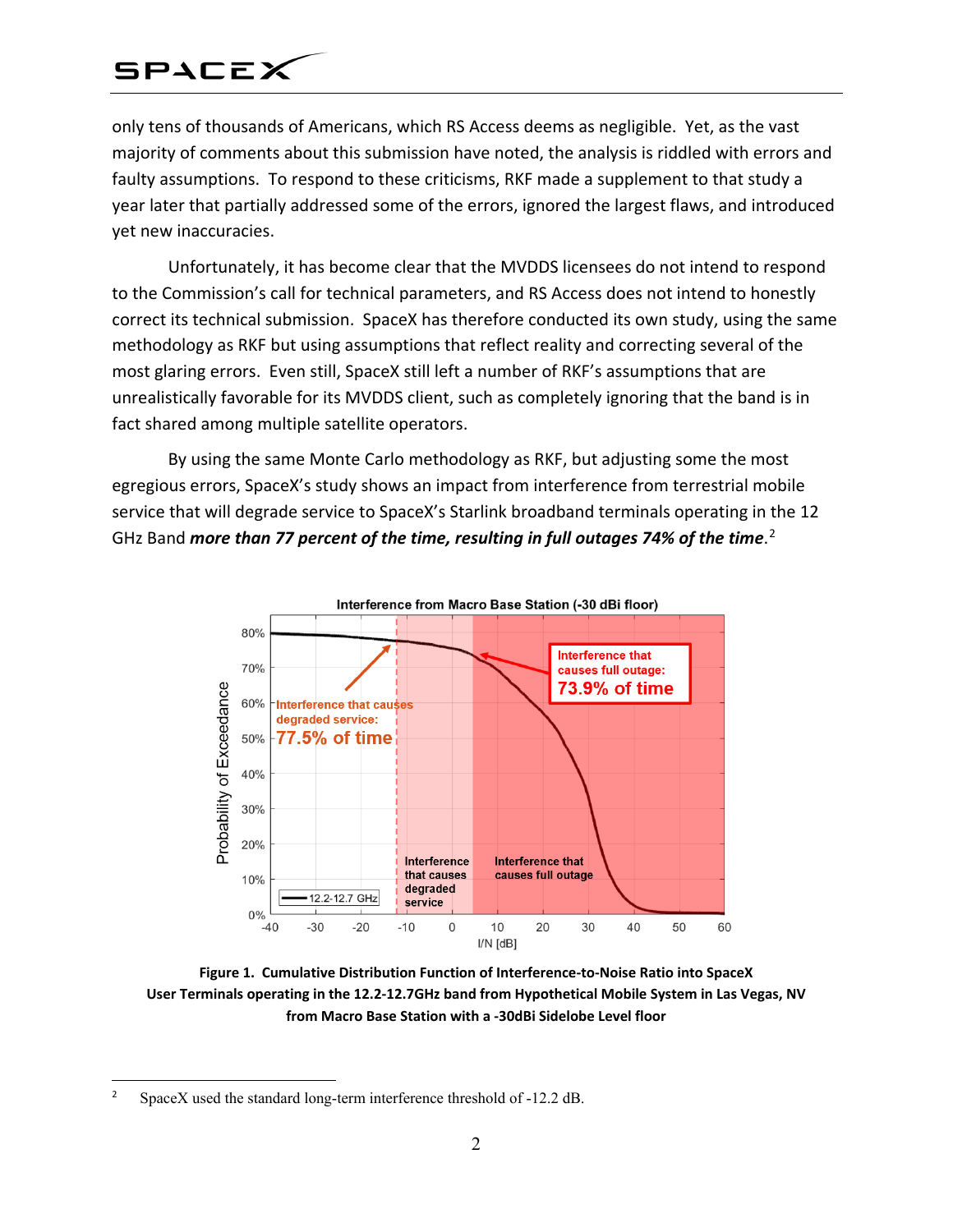only tens of thousands of Americans, which RS Access deems as negligible. Yet, as the vast majority of comments about this submission have noted, the analysis is riddled with errors and faulty assumptions. To respond to these criticisms, RKF made a supplement to that study a year later that partially addressed some of the errors, ignored the largest flaws, and introduced yet new inaccuracies.

Unfortunately, it has become clear that the MVDDS licensees do not intend to respond to the Commission's call for technical parameters, and RS Access does not intend to honestly correct its technical submission. SpaceX has therefore conducted its own study, using the same methodology as RKF but using assumptions that reflect reality and correcting several of the most glaring errors. Even still, SpaceX still left a number of RKF's assumptions that are unrealistically favorable for its MVDDS client, such as completely ignoring that the band is in fact shared among multiple satellite operators.

By using the same Monte Carlo methodology as RKF, but adjusting some the most egregious errors, SpaceX's study shows an impact from interference from terrestrial mobile service that will degrade service to SpaceX's Starlink broadband terminals operating in the 12 GHz Band *more than 77 percent of the time, resulting in full outages 74% of the time*. [2](#page-1-0)



**Figure 1. Cumulative Distribution Function of Interference-to-Noise Ratio into SpaceX User Terminals operating in the 12.2-12.7GHz band from Hypothetical Mobile System in Las Vegas, NV from Macro Base Station with a -30dBi Sidelobe Level floor**

 $\overline{a}$ 

<span id="page-1-0"></span><sup>&</sup>lt;sup>2</sup> SpaceX used the standard long-term interference threshold of -12.2 dB.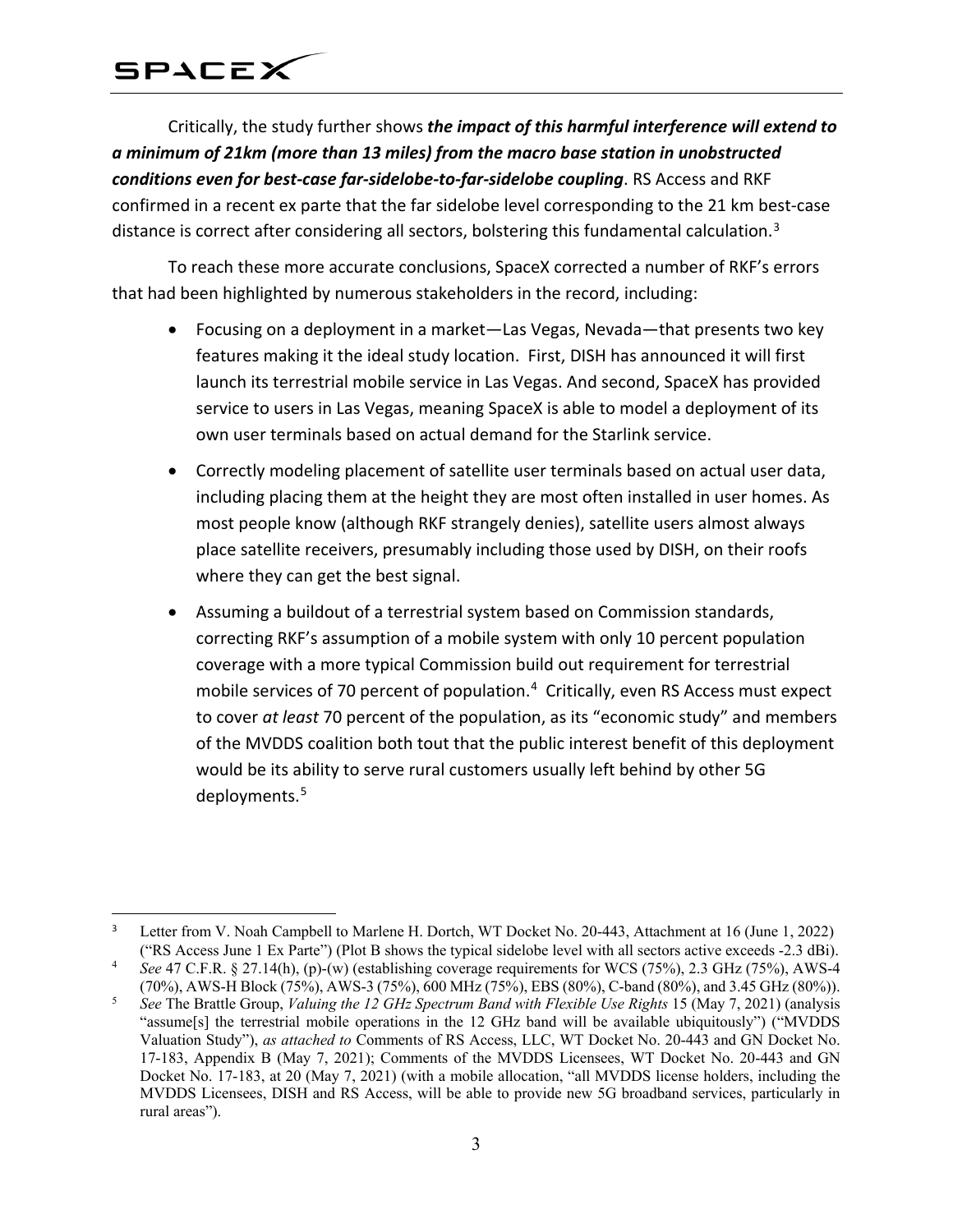Critically, the study further shows *the impact of this harmful interference will extend to a minimum of 21km (more than 13 miles) from the macro base station in unobstructed conditions even for best-case far-sidelobe-to-far-sidelobe coupling*. RS Access and RKF confirmed in a recent ex parte that the far sidelobe level corresponding to the 21 km best-case distance is correct after considering all sectors, bolstering this fundamental calculation.<sup>[3](#page-2-0)</sup>

To reach these more accurate conclusions, SpaceX corrected a number of RKF's errors that had been highlighted by numerous stakeholders in the record, including:

- Focusing on a deployment in a market—Las Vegas, Nevada—that presents two key features making it the ideal study location. First, DISH has announced it will first launch its terrestrial mobile service in Las Vegas. And second, SpaceX has provided service to users in Las Vegas, meaning SpaceX is able to model a deployment of its own user terminals based on actual demand for the Starlink service.
- Correctly modeling placement of satellite user terminals based on actual user data, including placing them at the height they are most often installed in user homes. As most people know (although RKF strangely denies), satellite users almost always place satellite receivers, presumably including those used by DISH, on their roofs where they can get the best signal.
- Assuming a buildout of a terrestrial system based on Commission standards, correcting RKF's assumption of a mobile system with only 10 percent population coverage with a more typical Commission build out requirement for terrestrial mobile services of 70 percent of population.<sup>[4](#page-2-1)</sup> Critically, even RS Access must expect to cover *at least* 70 percent of the population, as its "economic study" and members of the MVDDS coalition both tout that the public interest benefit of this deployment would be its ability to serve rural customers usually left behind by other 5G deployments.<sup>[5](#page-2-2)</sup>

<span id="page-2-0"></span> $\overline{a}$ Letter from V. Noah Campbell to Marlene H. Dortch, WT Docket No. 20-443, Attachment at 16 (June 1, 2022) ("RS Access June 1 Ex Parte") (Plot B shows the typical sidelobe level with all sectors active exceeds -2.3 dBi).

<span id="page-2-1"></span><sup>4</sup> *See* 47 C.F.R. § 27.14(h), (p)-(w) (establishing coverage requirements for WCS (75%), 2.3 GHz (75%), AWS-4 (70%), AWS-H Block (75%), AWS-3 (75%), 600 MHz (75%), EBS (80%), C-band (80%), and 3.45 GHz (80%)).

<span id="page-2-2"></span><sup>5</sup> *See* The Brattle Group, *Valuing the 12 GHz Spectrum Band with Flexible Use Rights* 15 (May 7, 2021) (analysis "assume[s] the terrestrial mobile operations in the 12 GHz band will be available ubiquitously") ("MVDDS Valuation Study"), *as attached to* Comments of RS Access, LLC, WT Docket No. 20-443 and GN Docket No. 17-183, Appendix B (May 7, 2021); Comments of the MVDDS Licensees, WT Docket No. 20-443 and GN Docket No. 17-183, at 20 (May 7, 2021) (with a mobile allocation, "all MVDDS license holders, including the MVDDS Licensees, DISH and RS Access, will be able to provide new 5G broadband services, particularly in rural areas").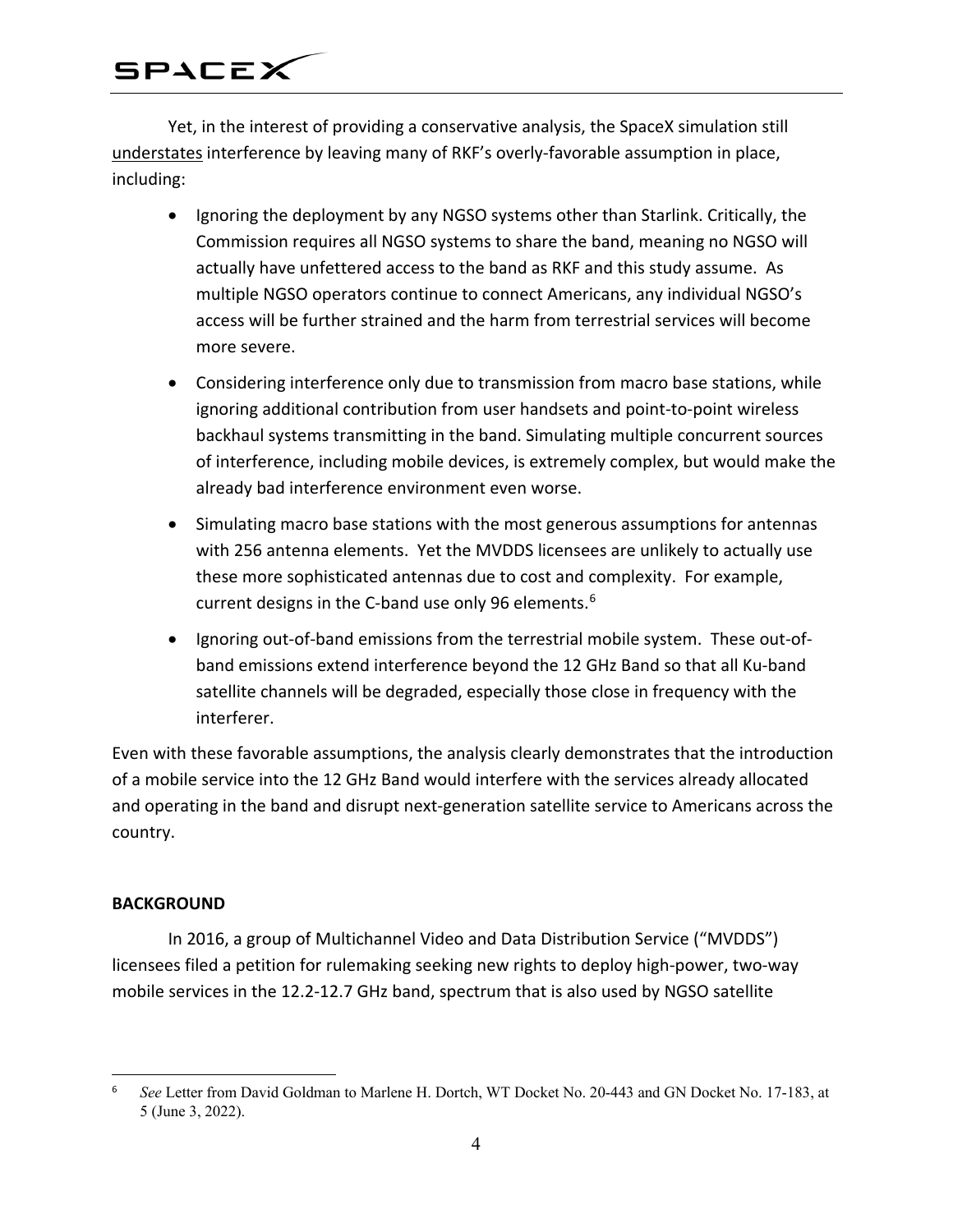Yet, in the interest of providing a conservative analysis, the SpaceX simulation still understates interference by leaving many of RKF's overly-favorable assumption in place, including:

- Ignoring the deployment by any NGSO systems other than Starlink. Critically, the Commission requires all NGSO systems to share the band, meaning no NGSO will actually have unfettered access to the band as RKF and this study assume. As multiple NGSO operators continue to connect Americans, any individual NGSO's access will be further strained and the harm from terrestrial services will become more severe.
- Considering interference only due to transmission from macro base stations, while ignoring additional contribution from user handsets and point-to-point wireless backhaul systems transmitting in the band. Simulating multiple concurrent sources of interference, including mobile devices, is extremely complex, but would make the already bad interference environment even worse.
- Simulating macro base stations with the most generous assumptions for antennas with 256 antenna elements. Yet the MVDDS licensees are unlikely to actually use these more sophisticated antennas due to cost and complexity. For example, current designs in the C-band use only 9[6](#page-3-0) elements.<sup>6</sup>
- Ignoring out-of-band emissions from the terrestrial mobile system. These out-ofband emissions extend interference beyond the 12 GHz Band so that all Ku-band satellite channels will be degraded, especially those close in frequency with the interferer.

Even with these favorable assumptions, the analysis clearly demonstrates that the introduction of a mobile service into the 12 GHz Band would interfere with the services already allocated and operating in the band and disrupt next-generation satellite service to Americans across the country.

#### **BACKGROUND**

 $\overline{a}$ 

In 2016, a group of Multichannel Video and Data Distribution Service ("MVDDS") licensees filed a petition for rulemaking seeking new rights to deploy high-power, two-way mobile services in the 12.2-12.7 GHz band, spectrum that is also used by NGSO satellite

<span id="page-3-0"></span><sup>6</sup> *See* Letter from David Goldman to Marlene H. Dortch, WT Docket No. 20-443 and GN Docket No. 17-183, at 5 (June 3, 2022).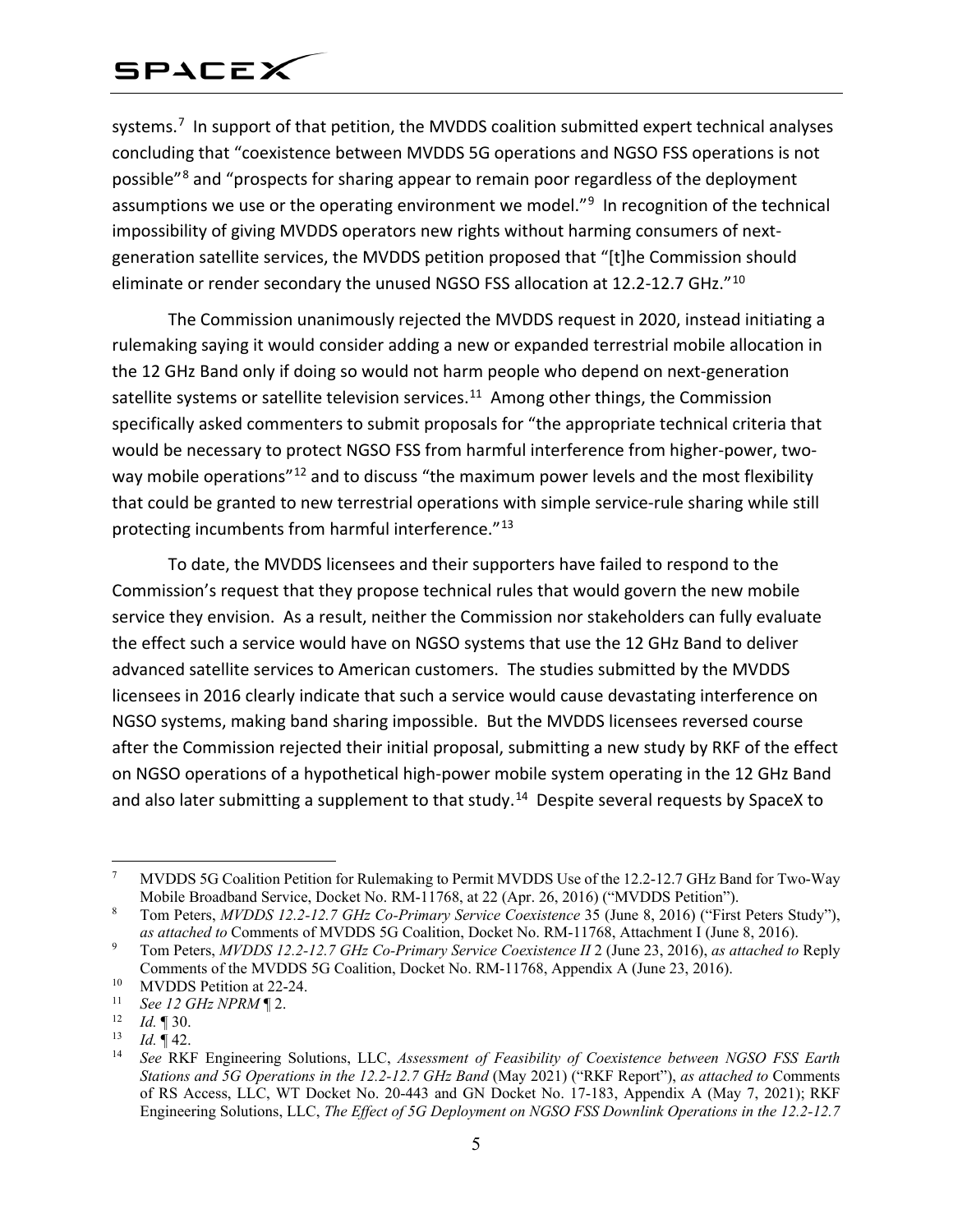systems.<sup>[7](#page-4-0)</sup> In support of that petition, the MVDDS coalition submitted expert technical analyses concluding that "coexistence between MVDDS 5G operations and NGSO FSS operations is not possible"[8](#page-4-1) and "prospects for sharing appear to remain poor regardless of the deployment assumptions we use or the operating environment we model."<sup>[9](#page-4-2)</sup> In recognition of the technical impossibility of giving MVDDS operators new rights without harming consumers of nextgeneration satellite services, the MVDDS petition proposed that "[t]he Commission should eliminate or render secondary the unused NGSO FSS allocation at 12.2-12.7 GHz."<sup>10</sup>

The Commission unanimously rejected the MVDDS request in 2020, instead initiating a rulemaking saying it would consider adding a new or expanded terrestrial mobile allocation in the 12 GHz Band only if doing so would not harm people who depend on next-generation satellite systems or satellite television services.<sup>11</sup> Among other things, the Commission specifically asked commenters to submit proposals for "the appropriate technical criteria that would be necessary to protect NGSO FSS from harmful interference from higher-power, two-way mobile operations"<sup>[12](#page-4-5)</sup> and to discuss "the maximum power levels and the most flexibility that could be granted to new terrestrial operations with simple service-rule sharing while still protecting incumbents from harmful interference."<sup>[13](#page-4-6)</sup>

To date, the MVDDS licensees and their supporters have failed to respond to the Commission's request that they propose technical rules that would govern the new mobile service they envision. As a result, neither the Commission nor stakeholders can fully evaluate the effect such a service would have on NGSO systems that use the 12 GHz Band to deliver advanced satellite services to American customers. The studies submitted by the MVDDS licensees in 2016 clearly indicate that such a service would cause devastating interference on NGSO systems, making band sharing impossible. But the MVDDS licensees reversed course after the Commission rejected their initial proposal, submitting a new study by RKF of the effect on NGSO operations of a hypothetical high-power mobile system operating in the 12 GHz Band and also later submitting a supplement to that study.<sup>[14](#page-4-7)</sup> Despite several requests by SpaceX to

<span id="page-4-0"></span> <sup>7</sup> MVDDS 5G Coalition Petition for Rulemaking to Permit MVDDS Use of the 12.2-12.7 GHz Band for Two-Way Mobile Broadband Service, Docket No. RM-11768, at 22 (Apr. 26, 2016) ("MVDDS Petition").

<span id="page-4-1"></span><sup>8</sup> Tom Peters, *MVDDS 12.2-12.7 GHz Co-Primary Service Coexistence* 35 (June 8, 2016) ("First Peters Study"), *as attached to* Comments of MVDDS 5G Coalition, Docket No. RM-11768, Attachment I (June 8, 2016).

<span id="page-4-2"></span><sup>9</sup> Tom Peters, *MVDDS 12.2-12.7 GHz Co-Primary Service Coexistence II* 2 (June 23, 2016), *as attached to* Reply Comments of the MVDDS 5G Coalition, Docket No. RM-11768, Appendix A (June 23, 2016).

<span id="page-4-3"></span><sup>&</sup>lt;sup>10</sup> MVDDS Petition at 22-24.<br><sup>11</sup> See 12 CH<sub>7</sub> MPPM **1**2

<span id="page-4-4"></span><sup>&</sup>lt;sup>11</sup> *See 12 GHz NPRM*  $\P$  2.<br><sup>12</sup> *Id*  $\P$  30

<span id="page-4-5"></span> $\frac{12}{13}$  *Id.* 130.

<span id="page-4-7"></span><span id="page-4-6"></span> $\frac{13}{14}$  *Id.* 142.

<sup>14</sup> *See* RKF Engineering Solutions, LLC, *Assessment of Feasibility of Coexistence between NGSO FSS Earth Stations and 5G Operations in the 12.2-12.7 GHz Band* (May 2021) ("RKF Report"), *as attached to* Comments of RS Access, LLC, WT Docket No. 20-443 and GN Docket No. 17-183, Appendix A (May 7, 2021); RKF Engineering Solutions, LLC, *The Effect of 5G Deployment on NGSO FSS Downlink Operations in the 12.2-12.7*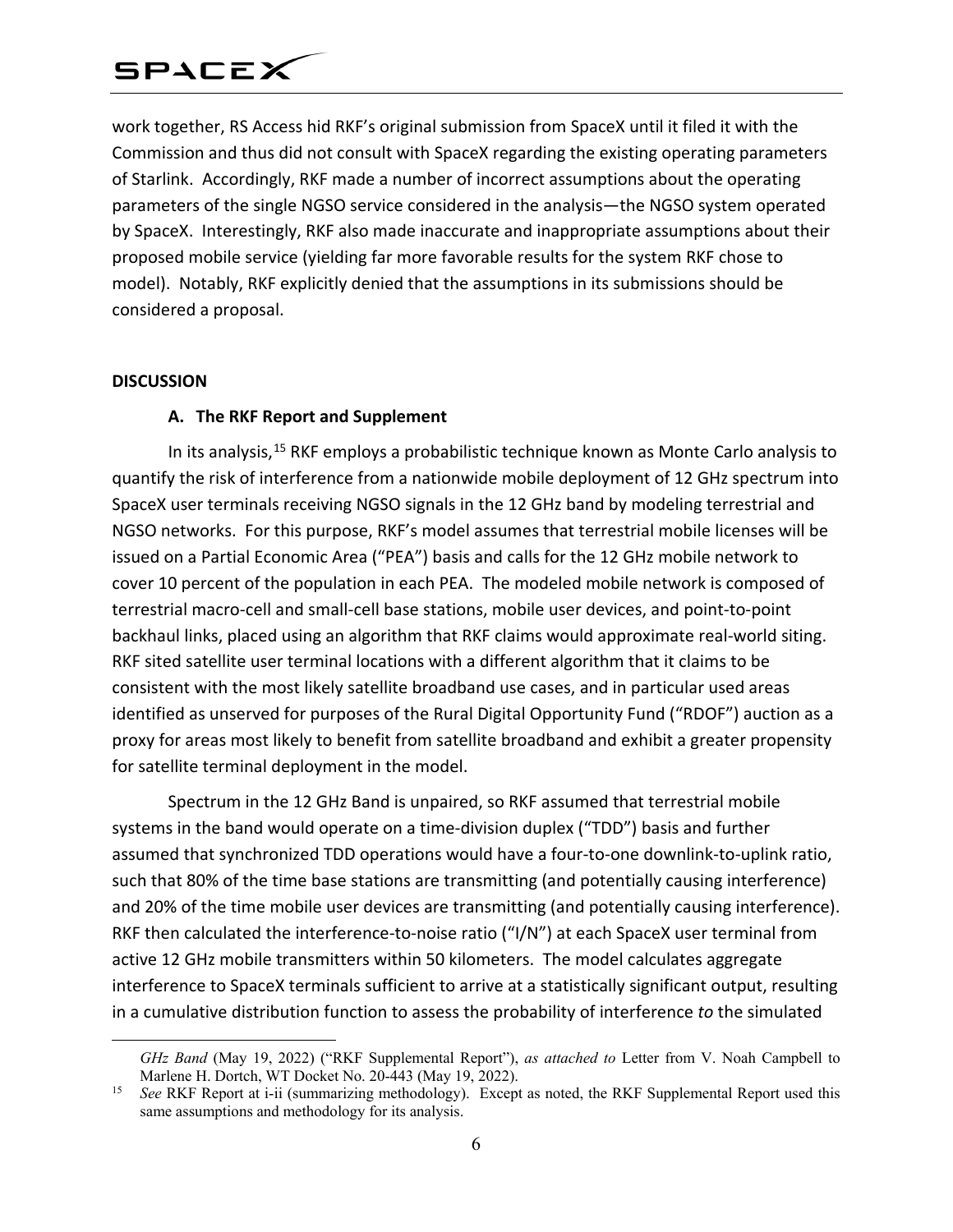work together, RS Access hid RKF's original submission from SpaceX until it filed it with the Commission and thus did not consult with SpaceX regarding the existing operating parameters of Starlink. Accordingly, RKF made a number of incorrect assumptions about the operating parameters of the single NGSO service considered in the analysis—the NGSO system operated by SpaceX. Interestingly, RKF also made inaccurate and inappropriate assumptions about their proposed mobile service (yielding far more favorable results for the system RKF chose to model). Notably, RKF explicitly denied that the assumptions in its submissions should be considered a proposal.

#### **DISCUSSION**

 $\overline{a}$ 

### **A. The RKF Report and Supplement**

In its analysis,<sup>[15](#page-5-0)</sup> RKF employs a probabilistic technique known as Monte Carlo analysis to quantify the risk of interference from a nationwide mobile deployment of 12 GHz spectrum into SpaceX user terminals receiving NGSO signals in the 12 GHz band by modeling terrestrial and NGSO networks. For this purpose, RKF's model assumes that terrestrial mobile licenses will be issued on a Partial Economic Area ("PEA") basis and calls for the 12 GHz mobile network to cover 10 percent of the population in each PEA. The modeled mobile network is composed of terrestrial macro-cell and small-cell base stations, mobile user devices, and point-to-point backhaul links, placed using an algorithm that RKF claims would approximate real-world siting. RKF sited satellite user terminal locations with a different algorithm that it claims to be consistent with the most likely satellite broadband use cases, and in particular used areas identified as unserved for purposes of the Rural Digital Opportunity Fund ("RDOF") auction as a proxy for areas most likely to benefit from satellite broadband and exhibit a greater propensity for satellite terminal deployment in the model.

Spectrum in the 12 GHz Band is unpaired, so RKF assumed that terrestrial mobile systems in the band would operate on a time-division duplex ("TDD") basis and further assumed that synchronized TDD operations would have a four-to-one downlink-to-uplink ratio, such that 80% of the time base stations are transmitting (and potentially causing interference) and 20% of the time mobile user devices are transmitting (and potentially causing interference). RKF then calculated the interference-to-noise ratio ("I/N") at each SpaceX user terminal from active 12 GHz mobile transmitters within 50 kilometers. The model calculates aggregate interference to SpaceX terminals sufficient to arrive at a statistically significant output, resulting in a cumulative distribution function to assess the probability of interference *to* the simulated

*GHz Band* (May 19, 2022) ("RKF Supplemental Report"), *as attached to* Letter from V. Noah Campbell to

<span id="page-5-0"></span>Marlene H. Dortch, WT Docket No. 20-443 (May 19, 2022).<br><sup>15</sup> *See* RKF Report at i-ii (summarizing methodology). Except as noted, the RKF Supplemental Report used this same assumptions and methodology for its analysis.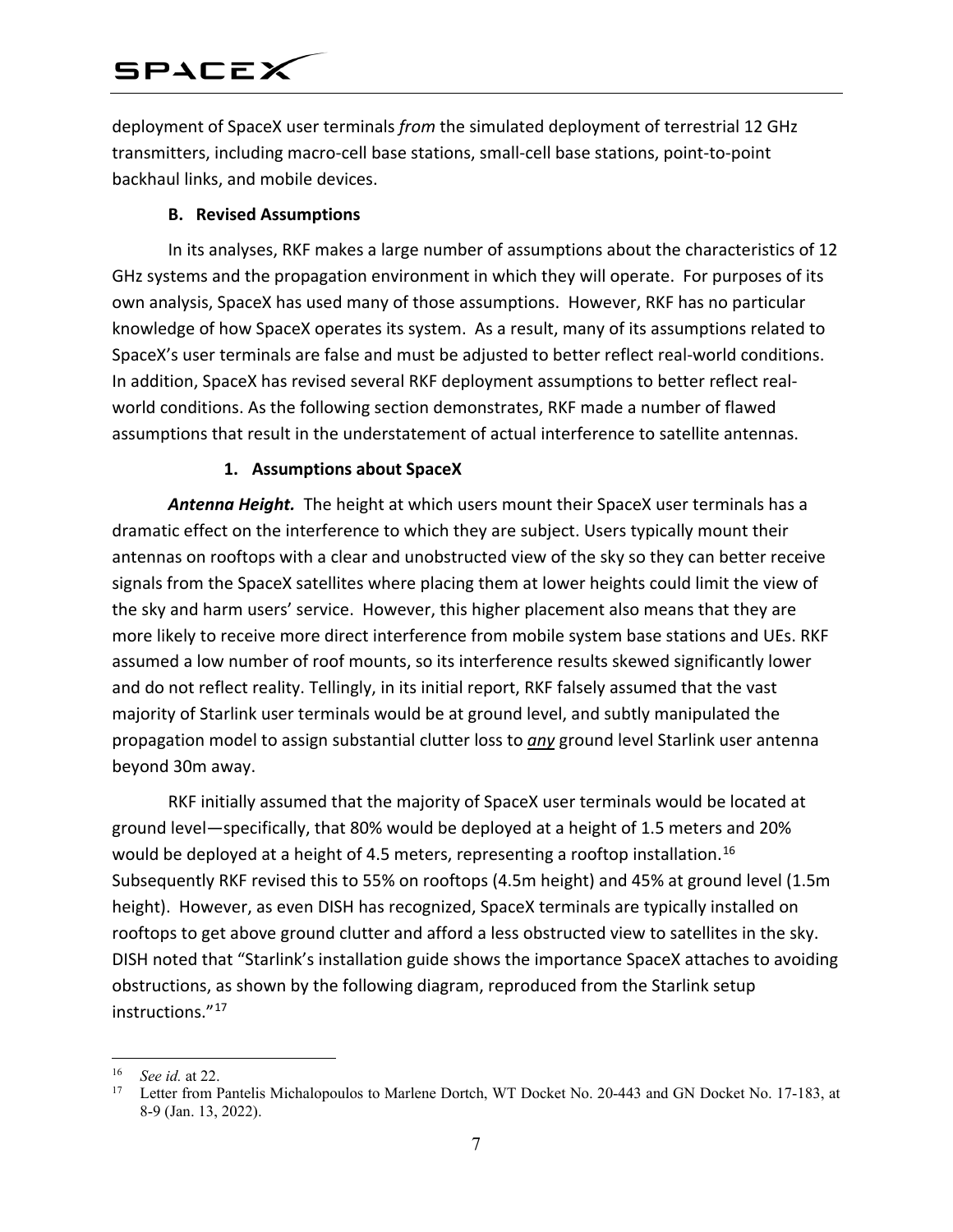deployment of SpaceX user terminals *from* the simulated deployment of terrestrial 12 GHz transmitters, including macro-cell base stations, small-cell base stations, point-to-point backhaul links, and mobile devices.

### **B. Revised Assumptions**

In its analyses, RKF makes a large number of assumptions about the characteristics of 12 GHz systems and the propagation environment in which they will operate. For purposes of its own analysis, SpaceX has used many of those assumptions. However, RKF has no particular knowledge of how SpaceX operates its system. As a result, many of its assumptions related to SpaceX's user terminals are false and must be adjusted to better reflect real-world conditions. In addition, SpaceX has revised several RKF deployment assumptions to better reflect realworld conditions. As the following section demonstrates, RKF made a number of flawed assumptions that result in the understatement of actual interference to satellite antennas.

#### **1. Assumptions about SpaceX**

*Antenna Height.* The height at which users mount their SpaceX user terminals has a dramatic effect on the interference to which they are subject. Users typically mount their antennas on rooftops with a clear and unobstructed view of the sky so they can better receive signals from the SpaceX satellites where placing them at lower heights could limit the view of the sky and harm users' service. However, this higher placement also means that they are more likely to receive more direct interference from mobile system base stations and UEs. RKF assumed a low number of roof mounts, so its interference results skewed significantly lower and do not reflect reality. Tellingly, in its initial report, RKF falsely assumed that the vast majority of Starlink user terminals would be at ground level, and subtly manipulated the propagation model to assign substantial clutter loss to *any* ground level Starlink user antenna beyond 30m away.

RKF initially assumed that the majority of SpaceX user terminals would be located at ground level—specifically, that 80% would be deployed at a height of 1.5 meters and 20% would be deployed at a height of 4.5 meters, representing a rooftop installation.<sup>16</sup> Subsequently RKF revised this to 55% on rooftops (4.5m height) and 45% at ground level (1.5m height). However, as even DISH has recognized, SpaceX terminals are typically installed on rooftops to get above ground clutter and afford a less obstructed view to satellites in the sky. DISH noted that "Starlink's installation guide shows the importance SpaceX attaches to avoiding obstructions, as shown by the following diagram, reproduced from the Starlink setup instructions."[17](#page-6-1)

 $\overline{a}$ 

<span id="page-6-1"></span><span id="page-6-0"></span> $^{16}$  *See id.* at 22.

Letter from Pantelis Michalopoulos to Marlene Dortch, WT Docket No. 20-443 and GN Docket No. 17-183, at 8-9 (Jan. 13, 2022).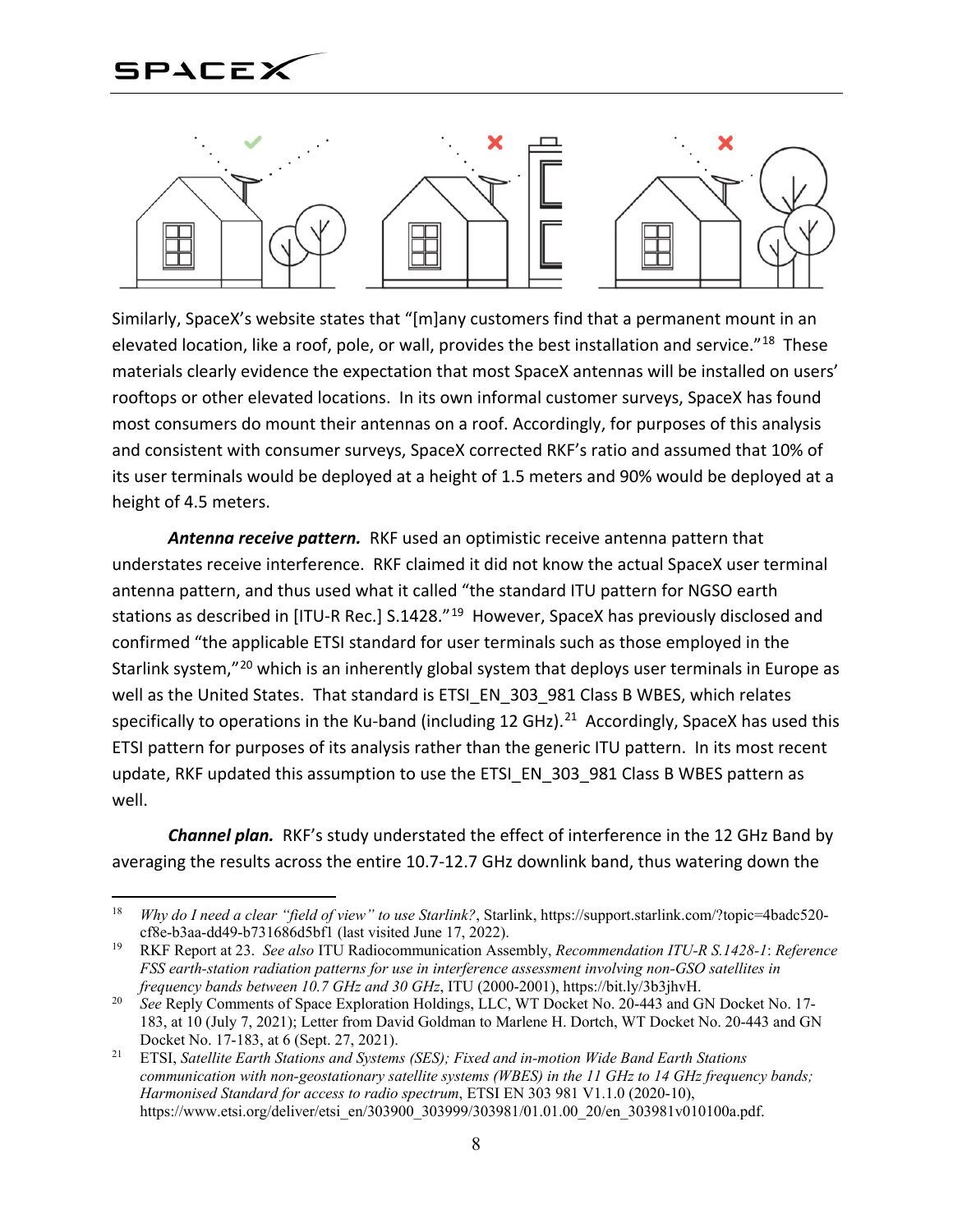

Similarly, SpaceX's website states that "[m]any customers find that a permanent mount in an elevated location, like a roof, pole, or wall, provides the best installation and service."<sup>[18](#page-7-0)</sup> These materials clearly evidence the expectation that most SpaceX antennas will be installed on users' rooftops or other elevated locations. In its own informal customer surveys, SpaceX has found most consumers do mount their antennas on a roof. Accordingly, for purposes of this analysis and consistent with consumer surveys, SpaceX corrected RKF's ratio and assumed that 10% of its user terminals would be deployed at a height of 1.5 meters and 90% would be deployed at a height of 4.5 meters.

*Antenna receive pattern.* RKF used an optimistic receive antenna pattern that understates receive interference. RKF claimed it did not know the actual SpaceX user terminal antenna pattern, and thus used what it called "the standard ITU pattern for NGSO earth stations as described in [ITU-R Rec.] S.1428."<sup>[19](#page-7-1)</sup> However, SpaceX has previously disclosed and confirmed "the applicable ETSI standard for user terminals such as those employed in the Starlink system,"<sup>[20](#page-7-2)</sup> which is an inherently global system that deploys user terminals in Europe as well as the United States. That standard is ETSI\_EN\_303\_981 Class B WBES, which relates specifically to operations in the Ku-band (including 12 GHz).<sup>21</sup> Accordingly, SpaceX has used this ETSI pattern for purposes of its analysis rather than the generic ITU pattern. In its most recent update, RKF updated this assumption to use the ETSI\_EN\_303\_981 Class B WBES pattern as well.

*Channel plan.* RKF's study understated the effect of interference in the 12 GHz Band by averaging the results across the entire 10.7-12.7 GHz downlink band, thus watering down the

<span id="page-7-0"></span> <sup>18</sup> *Why do I need a clear "field of view" to use Starlink?*, Starlink, https://support.starlink.com/?topic=4badc520 cf8e-b3aa-dd49-b731686d5bf1 (last visited June 17, 2022).

<span id="page-7-1"></span><sup>19</sup> RKF Report at 23. *See also* ITU Radiocommunication Assembly, *Recommendation ITU-R S.1428-1*: *Reference FSS earth-station radiation patterns for use in interference assessment involving non-GSO satellites in frequency bands between 10.7 GHz and 30 GHz*, ITU (2000-2001), https://bit.ly/3b3jhvH.

<span id="page-7-2"></span><sup>&</sup>lt;sup>20</sup> *See* Reply Comments of Space Exploration Holdings, LLC, WT Docket No. 20-443 and GN Docket No. 17-183, at 10 (July 7, 2021); Letter from David Goldman to Marlene H. Dortch, WT Docket No. 20-443 and GN Docket No. 17-183, at 6 (Sept. 27, 2021).

<span id="page-7-3"></span><sup>21</sup> ETSI, *Satellite Earth Stations and Systems (SES); Fixed and in-motion Wide Band Earth Stations communication with non-geostationary satellite systems (WBES) in the 11 GHz to 14 GHz frequency bands; Harmonised Standard for access to radio spectrum*, ETSI EN 303 981 V1.1.0 (2020-10), https://www.etsi.org/deliver/etsi\_en/303900\_303999/303981/01.01.00\_20/en\_303981v010100a.pdf.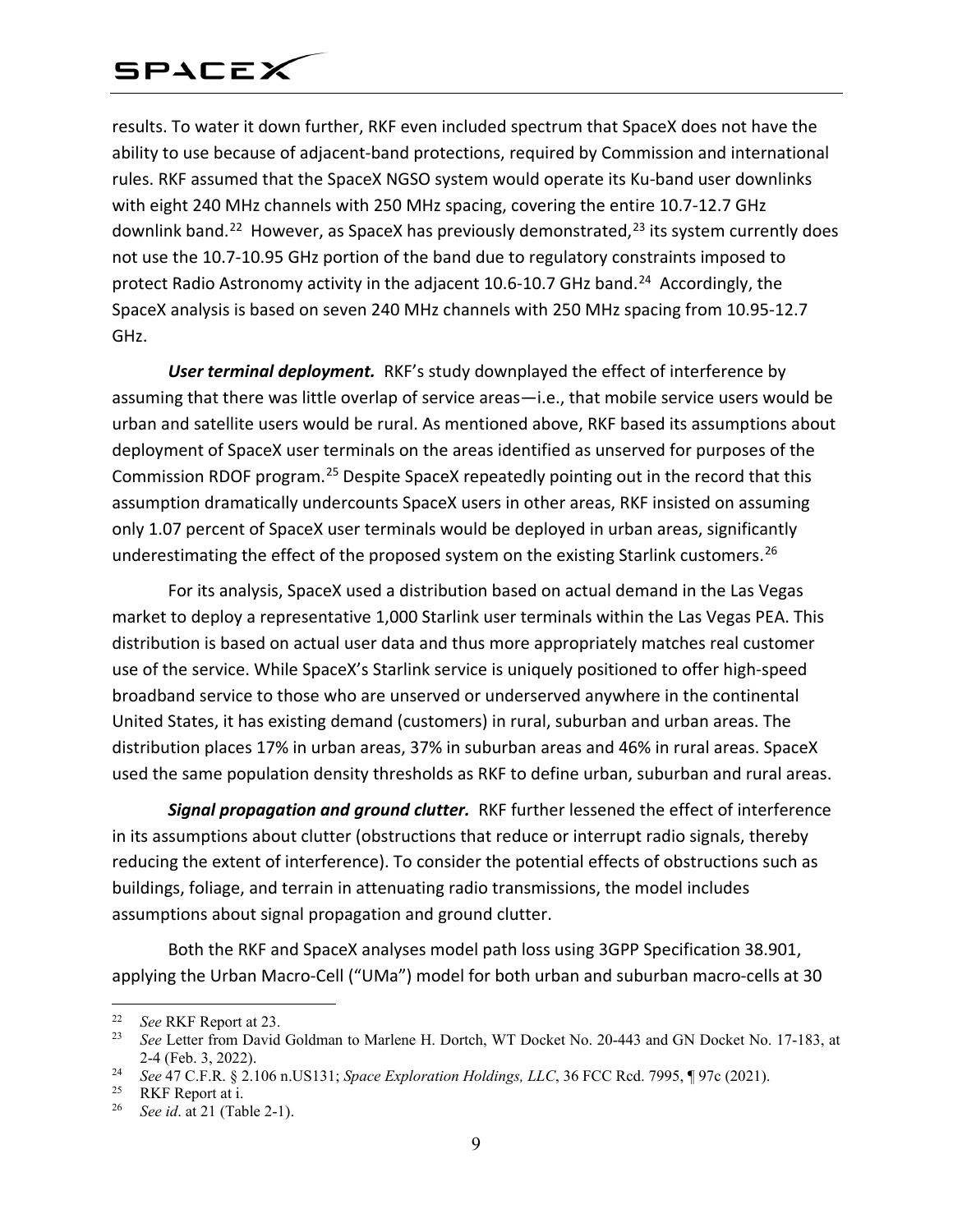results. To water it down further, RKF even included spectrum that SpaceX does not have the ability to use because of adjacent-band protections, required by Commission and international rules. RKF assumed that the SpaceX NGSO system would operate its Ku-band user downlinks with eight 240 MHz channels with 250 MHz spacing, covering the entire 10.7-12.7 GHz downlink band.<sup>22</sup> However, as SpaceX has previously demonstrated, $2<sup>3</sup>$  its system currently does not use the 10.7-10.95 GHz portion of the band due to regulatory constraints imposed to protect Radio Astronomy activity in the adjacent 10.6-10.7 GHz band.<sup>24</sup> Accordingly, the SpaceX analysis is based on seven 240 MHz channels with 250 MHz spacing from 10.95-12.7 GHz.

*User terminal deployment.* RKF's study downplayed the effect of interference by assuming that there was little overlap of service areas—i.e., that mobile service users would be urban and satellite users would be rural. As mentioned above, RKF based its assumptions about deployment of SpaceX user terminals on the areas identified as unserved for purposes of the Commission RDOF program.<sup>[25](#page-8-3)</sup> Despite SpaceX repeatedly pointing out in the record that this assumption dramatically undercounts SpaceX users in other areas, RKF insisted on assuming only 1.07 percent of SpaceX user terminals would be deployed in urban areas, significantly underestimating the effect of the proposed system on the existing Starlink customers.<sup>[26](#page-8-4)</sup>

For its analysis, SpaceX used a distribution based on actual demand in the Las Vegas market to deploy a representative 1,000 Starlink user terminals within the Las Vegas PEA. This distribution is based on actual user data and thus more appropriately matches real customer use of the service. While SpaceX's Starlink service is uniquely positioned to offer high-speed broadband service to those who are unserved or underserved anywhere in the continental United States, it has existing demand (customers) in rural, suburban and urban areas. The distribution places 17% in urban areas, 37% in suburban areas and 46% in rural areas. SpaceX used the same population density thresholds as RKF to define urban, suburban and rural areas.

*Signal propagation and ground clutter.* RKF further lessened the effect of interference in its assumptions about clutter (obstructions that reduce or interrupt radio signals, thereby reducing the extent of interference). To consider the potential effects of obstructions such as buildings, foliage, and terrain in attenuating radio transmissions, the model includes assumptions about signal propagation and ground clutter.

Both the RKF and SpaceX analyses model path loss using 3GPP Specification 38.901, applying the Urban Macro-Cell ("UMa") model for both urban and suburban macro-cells at 30

<span id="page-8-0"></span><sup>&</sup>lt;sup>22</sup> *See* RKF Report at 23.

<span id="page-8-1"></span><sup>23</sup> *See* Letter from David Goldman to Marlene H. Dortch, WT Docket No. 20-443 and GN Docket No. 17-183, at 2-4 (Feb. 3, 2022).

<span id="page-8-3"></span><span id="page-8-2"></span><sup>24</sup> *See* 47 C.F.R. § 2.106 n.US131; *Space Exploration Holdings, LLC*, 36 FCC Rcd. 7995, ¶ 97c (2021).

RKF Report at i.

<span id="page-8-4"></span><sup>26</sup> *See id*. at 21 (Table 2-1).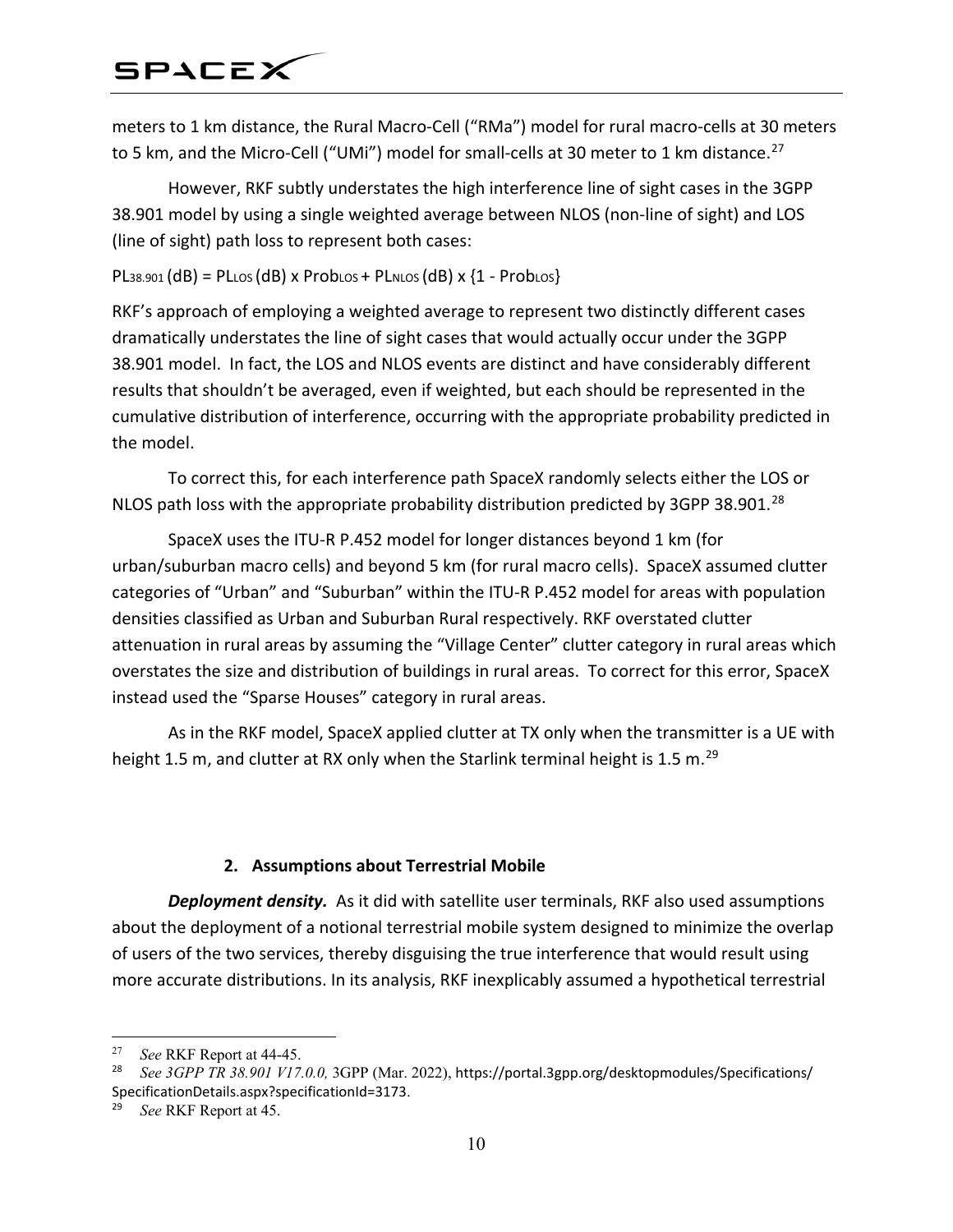meters to 1 km distance, the Rural Macro-Cell ("RMa") model for rural macro-cells at 30 meters to 5 km, and the Micro-Cell ("UMi") model for small-cells at 30 meter to 1 km distance.<sup>[27](#page-9-0)</sup>

However, RKF subtly understates the high interference line of sight cases in the 3GPP 38.901 model by using a single weighted average between NLOS (non-line of sight) and LOS (line of sight) path loss to represent both cases:

 $PL38.901$  (dB) = PLLOS (dB) x ProbLOS + PLNLOS (dB) x {1 - ProbLOS}

RKF's approach of employing a weighted average to represent two distinctly different cases dramatically understates the line of sight cases that would actually occur under the 3GPP 38.901 model. In fact, the LOS and NLOS events are distinct and have considerably different results that shouldn't be averaged, even if weighted, but each should be represented in the cumulative distribution of interference, occurring with the appropriate probability predicted in the model.

To correct this, for each interference path SpaceX randomly selects either the LOS or NLOS path loss with the appropriate probability distribution predicted by 3GPP 38.901.<sup>[28](#page-9-1)</sup>

SpaceX uses the ITU-R P.452 model for longer distances beyond 1 km (for urban/suburban macro cells) and beyond 5 km (for rural macro cells). SpaceX assumed clutter categories of "Urban" and "Suburban" within the ITU-R P.452 model for areas with population densities classified as Urban and Suburban Rural respectively. RKF overstated clutter attenuation in rural areas by assuming the "Village Center" clutter category in rural areas which overstates the size and distribution of buildings in rural areas. To correct for this error, SpaceX instead used the "Sparse Houses" category in rural areas.

As in the RKF model, SpaceX applied clutter at TX only when the transmitter is a UE with height 1.5 m, and clutter at RX only when the Starlink terminal height is 1.5 m.<sup>[29](#page-9-2)</sup>

### **2. Assumptions about Terrestrial Mobile**

*Deployment density.* As it did with satellite user terminals, RKF also used assumptions about the deployment of a notional terrestrial mobile system designed to minimize the overlap of users of the two services, thereby disguising the true interference that would result using more accurate distributions. In its analysis, RKF inexplicably assumed a hypothetical terrestrial

<span id="page-9-0"></span><sup>&</sup>lt;sup>27</sup> *See* RKF Report at 44-45.<br><sup>28</sup> *See* 3*GPP TP* 38,001 *V17* 

<span id="page-9-1"></span><sup>28</sup> *See 3GPP TR 38.901 V17.0.0,* 3GPP (Mar. 2022), https://portal.3gpp.org/desktopmodules/Specifications/ SpecificationDetails.aspx?specificationId=3173.

<span id="page-9-2"></span><sup>29</sup> *See* RKF Report at 45.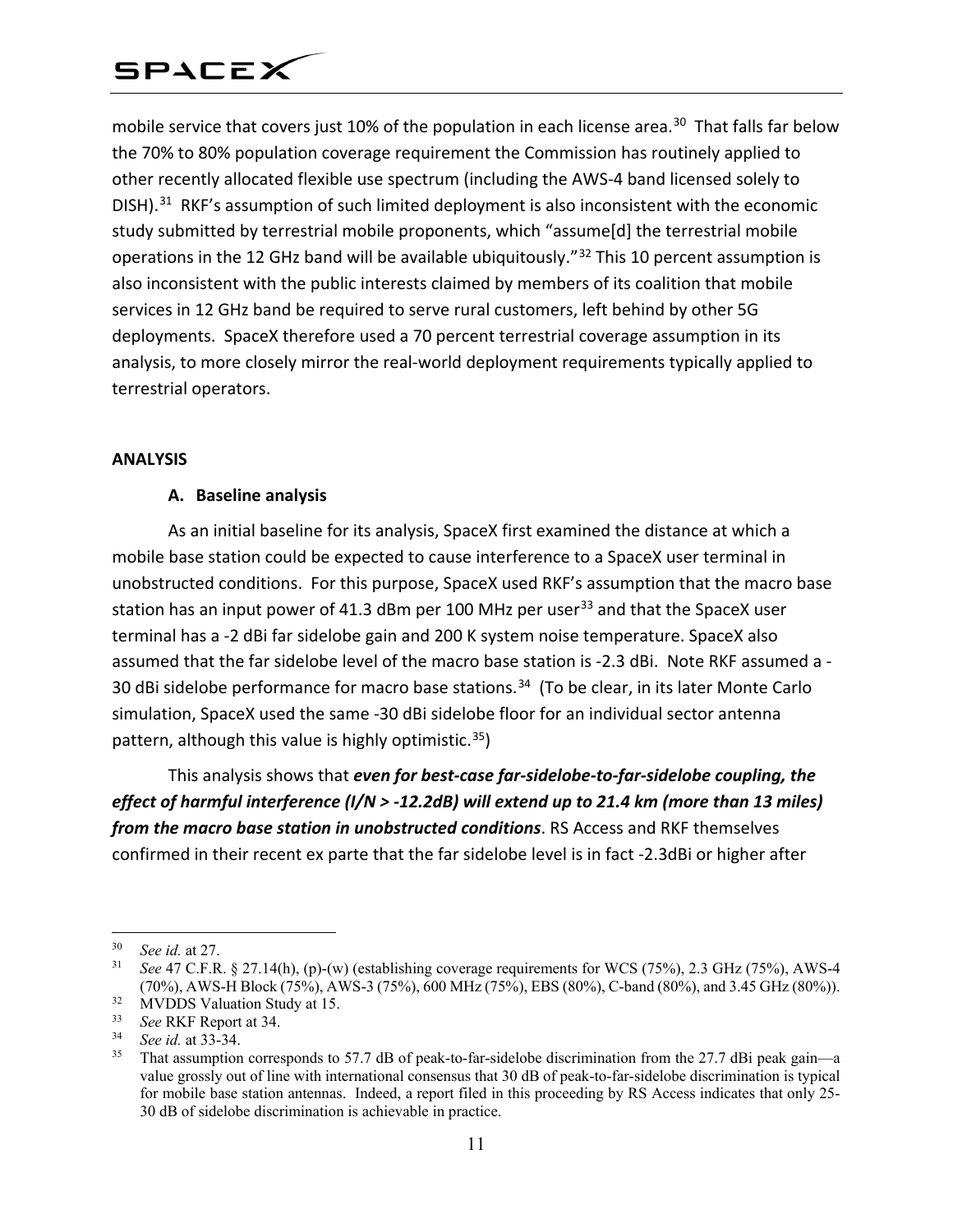mobile service that covers just 10% of the population in each license area.<sup>30</sup> That falls far below the 70% to 80% population coverage requirement the Commission has routinely applied to other recently allocated flexible use spectrum (including the AWS-4 band licensed solely to DISH).<sup>31</sup> RKF's assumption of such limited deployment is also inconsistent with the economic study submitted by terrestrial mobile proponents, which "assume[d] the terrestrial mobile operations in the 12 GHz band will be available ubiquitously."[32](#page-10-2) This 10 percent assumption is also inconsistent with the public interests claimed by members of its coalition that mobile services in 12 GHz band be required to serve rural customers, left behind by other 5G deployments. SpaceX therefore used a 70 percent terrestrial coverage assumption in its analysis, to more closely mirror the real-world deployment requirements typically applied to terrestrial operators.

#### **ANALYSIS**

#### **A. Baseline analysis**

As an initial baseline for its analysis, SpaceX first examined the distance at which a mobile base station could be expected to cause interference to a SpaceX user terminal in unobstructed conditions. For this purpose, SpaceX used RKF's assumption that the macro base station has an input power of 41.3 dBm per 100 MHz per user<sup>[33](#page-10-3)</sup> and that the SpaceX user terminal has a -2 dBi far sidelobe gain and 200 K system noise temperature. SpaceX also assumed that the far sidelobe level of the macro base station is -2.3 dBi. Note RKF assumed a - 30 dBi sidelobe performance for macro base stations.<sup>[34](#page-10-4)</sup> (To be clear, in its later Monte Carlo simulation, SpaceX used the same -30 dBi sidelobe floor for an individual sector antenna pattern, although this value is highly optimistic. [35\)](#page-10-5)

This analysis shows that *even for best-case far-sidelobe-to-far-sidelobe coupling, the effect of harmful interference (I/N > -12.2dB) will extend up to 21.4 km (more than 13 miles) from the macro base station in unobstructed conditions*. RS Access and RKF themselves confirmed in their recent ex parte that the far sidelobe level is in fact -2.3dBi or higher after

<span id="page-10-0"></span> <sup>30</sup> *See id.* at 27.

<span id="page-10-1"></span><sup>31</sup> *See* 47 C.F.R. § 27.14(h), (p)-(w) (establishing coverage requirements for WCS (75%), 2.3 GHz (75%), AWS-4 (70%), AWS-H Block (75%), AWS-3 (75%), 600 MHz (75%), EBS (80%), C-band (80%), and 3.45 GHz (80%)).

<span id="page-10-2"></span><sup>&</sup>lt;sup>32</sup> MVDDS Valuation Study at 15.<br> $\frac{33}{2}$  See RKF Report at 34

<span id="page-10-3"></span><sup>&</sup>lt;sup>33</sup> *See* RKF Report at 34.

<span id="page-10-4"></span><sup>34</sup> *See id.* at 33-34.

<span id="page-10-5"></span>That assumption corresponds to 57.7 dB of peak-to-far-sidelobe discrimination from the 27.7 dBi peak gain—a value grossly out of line with international consensus that 30 dB of peak-to-far-sidelobe discrimination is typical for mobile base station antennas. Indeed, a report filed in this proceeding by RS Access indicates that only 25- 30 dB of sidelobe discrimination is achievable in practice.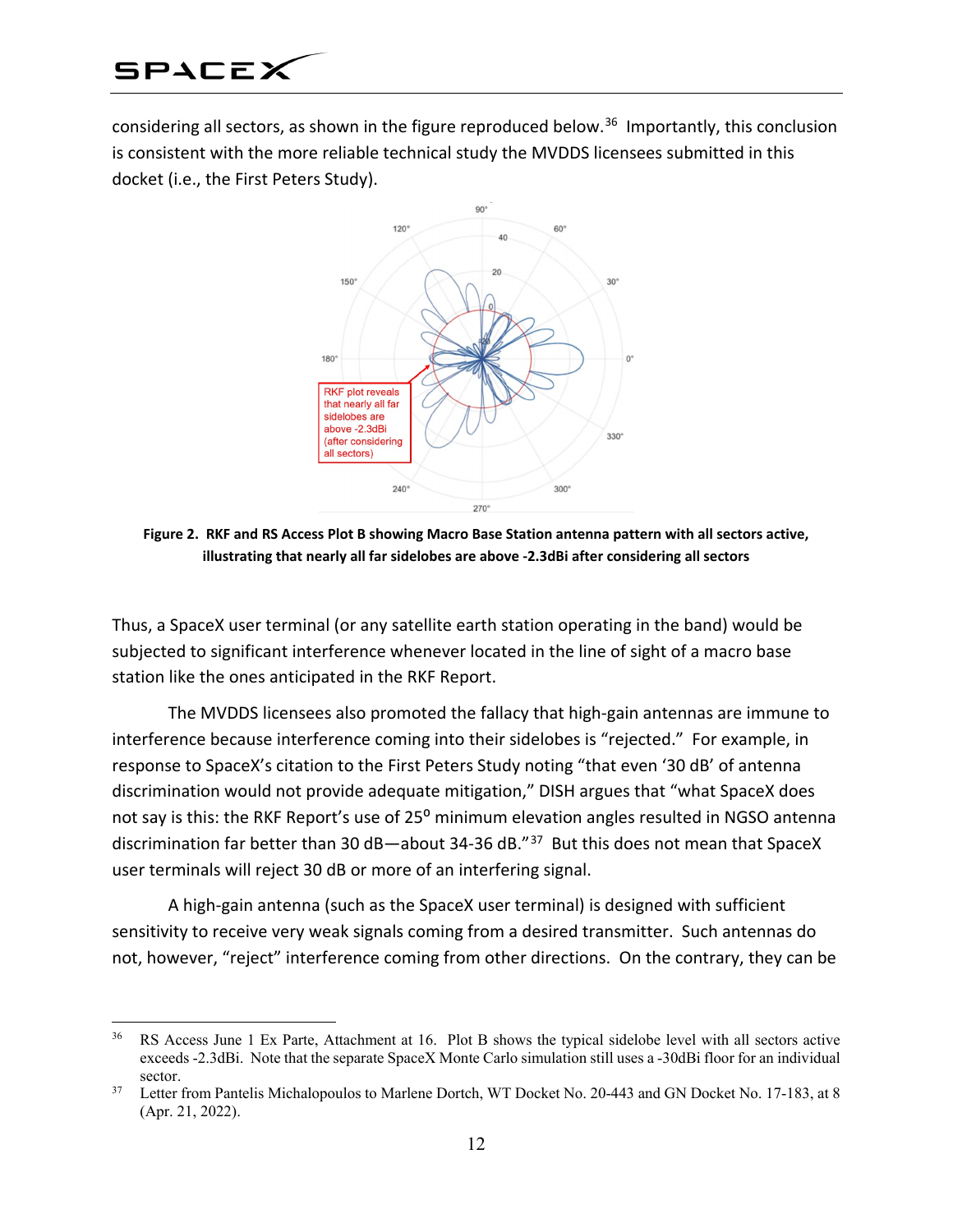considering all sectors, as shown in the figure reproduced below. [36](#page-11-0) Importantly, this conclusion is consistent with the more reliable technical study the MVDDS licensees submitted in this docket (i.e., the First Peters Study).



**Figure 2. RKF and RS Access Plot B showing Macro Base Station antenna pattern with all sectors active, illustrating that nearly all far sidelobes are above -2.3dBi after considering all sectors**

Thus, a SpaceX user terminal (or any satellite earth station operating in the band) would be subjected to significant interference whenever located in the line of sight of a macro base station like the ones anticipated in the RKF Report.

The MVDDS licensees also promoted the fallacy that high-gain antennas are immune to interference because interference coming into their sidelobes is "rejected." For example, in response to SpaceX's citation to the First Peters Study noting "that even '30 dB' of antenna discrimination would not provide adequate mitigation," DISH argues that "what SpaceX does not say is this: the RKF Report's use of 25<sup>°</sup> minimum elevation angles resulted in NGSO antenna discrimination far better than 30 dB-about 34-36 dB.<sup>"[37](#page-11-1)</sup> But this does not mean that SpaceX user terminals will reject 30 dB or more of an interfering signal.

A high-gain antenna (such as the SpaceX user terminal) is designed with sufficient sensitivity to receive very weak signals coming from a desired transmitter. Such antennas do not, however, "reject" interference coming from other directions. On the contrary, they can be

<span id="page-11-0"></span><sup>&</sup>lt;sup>36</sup> RS Access June 1 Ex Parte, Attachment at 16. Plot B shows the typical sidelobe level with all sectors active exceeds -2.3dBi. Note that the separate SpaceX Monte Carlo simulation still uses a -30dBi floor for an individual sector.

<span id="page-11-1"></span><sup>&</sup>lt;sup>37</sup> Letter from Pantelis Michalopoulos to Marlene Dortch, WT Docket No. 20-443 and GN Docket No. 17-183, at 8 (Apr. 21, 2022).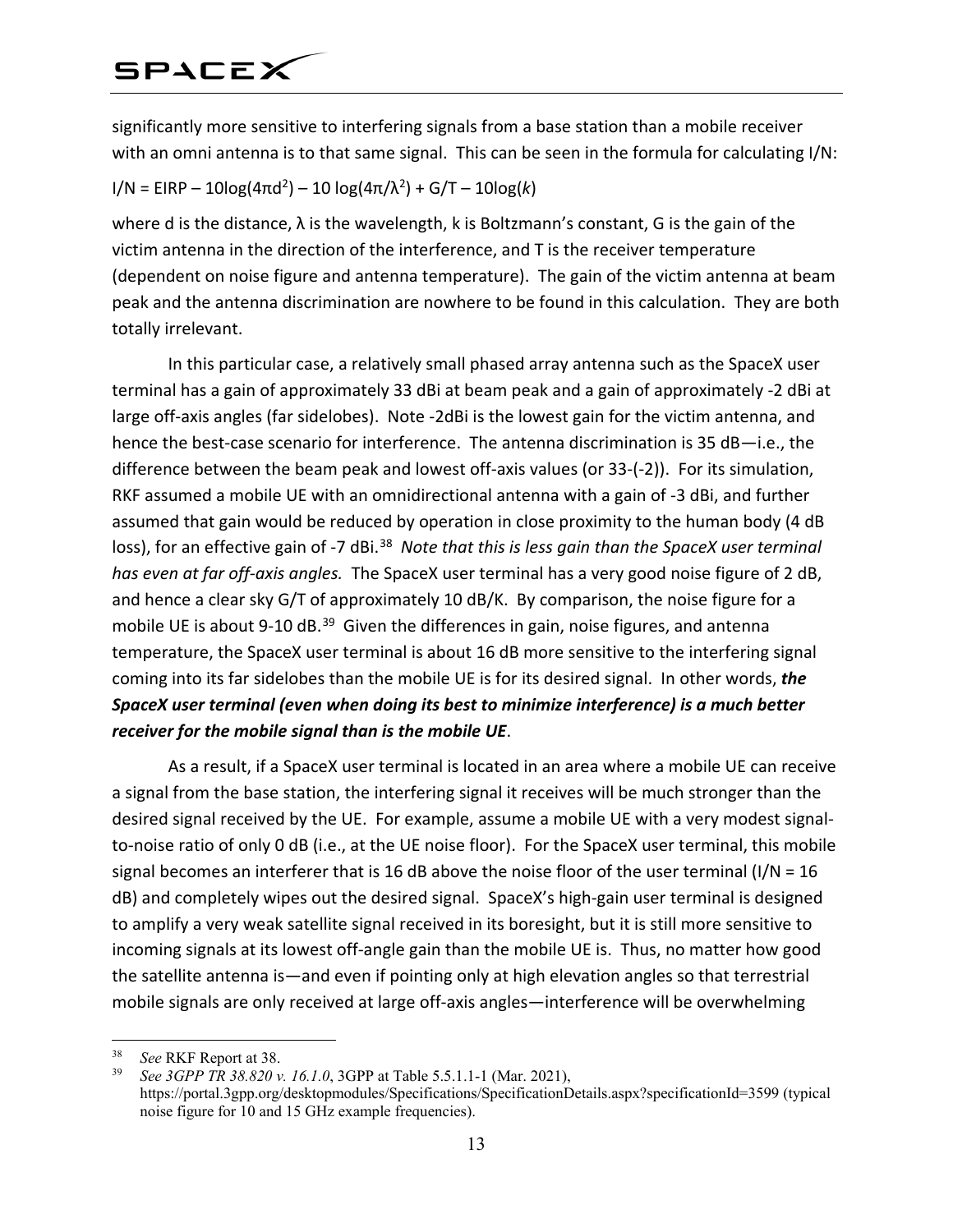significantly more sensitive to interfering signals from a base station than a mobile receiver with an omni antenna is to that same signal. This can be seen in the formula for calculating I/N:

### $I/N = EIRP - 10log(4πd<sup>2</sup>) - 10log(4π/λ<sup>2</sup>) + G/T - 10log(k)$

where d is the distance, λ is the wavelength, k is Boltzmann's constant, G is the gain of the victim antenna in the direction of the interference, and T is the receiver temperature (dependent on noise figure and antenna temperature). The gain of the victim antenna at beam peak and the antenna discrimination are nowhere to be found in this calculation. They are both totally irrelevant.

In this particular case, a relatively small phased array antenna such as the SpaceX user terminal has a gain of approximately 33 dBi at beam peak and a gain of approximately -2 dBi at large off-axis angles (far sidelobes). Note -2dBi is the lowest gain for the victim antenna, and hence the best-case scenario for interference. The antenna discrimination is 35 dB—i.e., the difference between the beam peak and lowest off-axis values (or 33-(-2)). For its simulation, RKF assumed a mobile UE with an omnidirectional antenna with a gain of -3 dBi, and further assumed that gain would be reduced by operation in close proximity to the human body (4 dB loss), for an effective gain of -7 dBi.<sup>[38](#page-12-0)</sup> *Note that this is less gain than the SpaceX user terminal has even at far off-axis angles.* The SpaceX user terminal has a very good noise figure of 2 dB, and hence a clear sky G/T of approximately 10 dB/K. By comparison, the noise figure for a mobile UE is about 9-10 dB.<sup>[39](#page-12-1)</sup> Given the differences in gain, noise figures, and antenna temperature, the SpaceX user terminal is about 16 dB more sensitive to the interfering signal coming into its far sidelobes than the mobile UE is for its desired signal. In other words, *the SpaceX user terminal (even when doing its best to minimize interference) is a much better receiver for the mobile signal than is the mobile UE*.

As a result, if a SpaceX user terminal is located in an area where a mobile UE can receive a signal from the base station, the interfering signal it receives will be much stronger than the desired signal received by the UE. For example, assume a mobile UE with a very modest signalto-noise ratio of only 0 dB (i.e., at the UE noise floor). For the SpaceX user terminal, this mobile signal becomes an interferer that is 16 dB above the noise floor of the user terminal (I/N = 16 dB) and completely wipes out the desired signal. SpaceX's high-gain user terminal is designed to amplify a very weak satellite signal received in its boresight, but it is still more sensitive to incoming signals at its lowest off-angle gain than the mobile UE is. Thus, no matter how good the satellite antenna is—and even if pointing only at high elevation angles so that terrestrial mobile signals are only received at large off-axis angles—interference will be overwhelming

<span id="page-12-1"></span><span id="page-12-0"></span><sup>&</sup>lt;sup>38</sup> *See* RKF Report at 38.<br><sup>39</sup> *See* 3*GPP TR 38 820 y* 

<sup>39</sup> *See 3GPP TR 38.820 v. 16.1.0*, 3GPP at Table 5.5.1.1-1 (Mar. 2021), https://portal.3gpp.org/desktopmodules/Specifications/SpecificationDetails.aspx?specificationId=3599 (typical noise figure for 10 and 15 GHz example frequencies).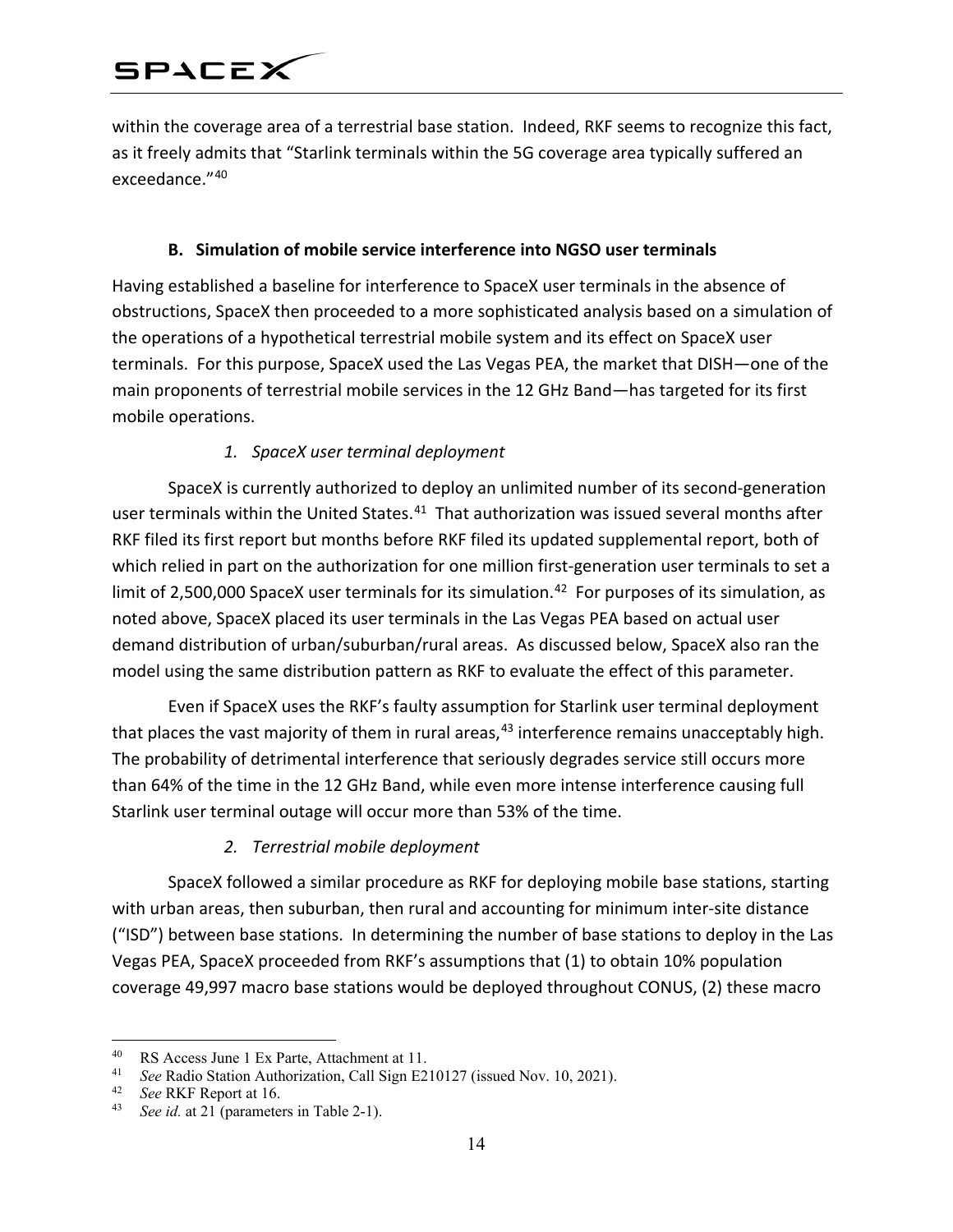within the coverage area of a terrestrial base station. Indeed, RKF seems to recognize this fact, as it freely admits that "Starlink terminals within the 5G coverage area typically suffered an exceedance."[40](#page-13-0)

#### **B. Simulation of mobile service interference into NGSO user terminals**

Having established a baseline for interference to SpaceX user terminals in the absence of obstructions, SpaceX then proceeded to a more sophisticated analysis based on a simulation of the operations of a hypothetical terrestrial mobile system and its effect on SpaceX user terminals. For this purpose, SpaceX used the Las Vegas PEA, the market that DISH—one of the main proponents of terrestrial mobile services in the 12 GHz Band—has targeted for its first mobile operations.

### *1. SpaceX user terminal deployment*

SpaceX is currently authorized to deploy an unlimited number of its second-generation user terminals within the United States.<sup>[41](#page-13-1)</sup> That authorization was issued several months after RKF filed its first report but months before RKF filed its updated supplemental report, both of which relied in part on the authorization for one million first-generation user terminals to set a limit of 2,500,000 SpaceX user terminals for its simulation.<sup>42</sup> For purposes of its simulation, as noted above, SpaceX placed its user terminals in the Las Vegas PEA based on actual user demand distribution of urban/suburban/rural areas. As discussed below, SpaceX also ran the model using the same distribution pattern as RKF to evaluate the effect of this parameter.

Even if SpaceX uses the RKF's faulty assumption for Starlink user terminal deployment that places the vast majority of them in rural areas,<sup>[43](#page-13-3)</sup> interference remains unacceptably high. The probability of detrimental interference that seriously degrades service still occurs more than 64% of the time in the 12 GHz Band, while even more intense interference causing full Starlink user terminal outage will occur more than 53% of the time.

### *2. Terrestrial mobile deployment*

SpaceX followed a similar procedure as RKF for deploying mobile base stations, starting with urban areas, then suburban, then rural and accounting for minimum inter-site distance ("ISD") between base stations. In determining the number of base stations to deploy in the Las Vegas PEA, SpaceX proceeded from RKF's assumptions that (1) to obtain 10% population coverage 49,997 macro base stations would be deployed throughout CONUS, (2) these macro

<span id="page-13-1"></span><span id="page-13-0"></span><sup>&</sup>lt;sup>40</sup> RS Access June 1 Ex Parte, Attachment at 11.<br><sup>41</sup> See Radio Station Authorization Call Sign E2.

See Radio Station Authorization, Call Sign E210127 (issued Nov. 10, 2021).

<span id="page-13-2"></span><sup>42</sup> *See* RKF Report at 16.

<span id="page-13-3"></span><sup>43</sup> *See id.* at 21 (parameters in Table 2-1).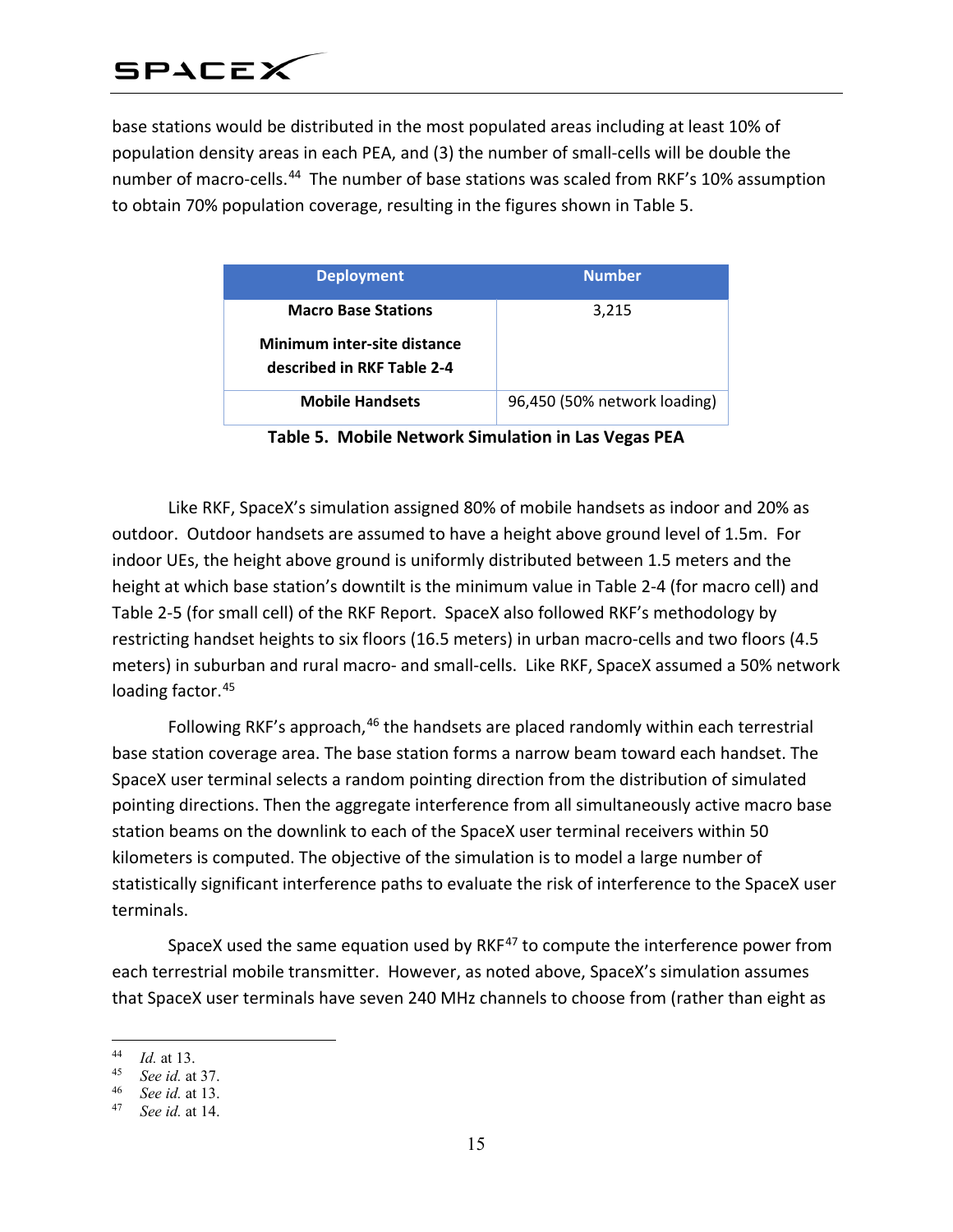base stations would be distributed in the most populated areas including at least 10% of population density areas in each PEA, and (3) the number of small-cells will be double the number of macro-cells.<sup>44</sup> The number of base stations was scaled from RKF's 10% assumption to obtain 70% population coverage, resulting in the figures shown in Table 5.

| <b>Deployment</b>                                         | <b>Number</b>                |
|-----------------------------------------------------------|------------------------------|
| <b>Macro Base Stations</b><br>Minimum inter-site distance | 3,215                        |
| described in RKF Table 2-4                                |                              |
| <b>Mobile Handsets</b>                                    | 96,450 (50% network loading) |

**Table 5. Mobile Network Simulation in Las Vegas PEA**

Like RKF, SpaceX's simulation assigned 80% of mobile handsets as indoor and 20% as outdoor. Outdoor handsets are assumed to have a height above ground level of 1.5m. For indoor UEs, the height above ground is uniformly distributed between 1.5 meters and the height at which base station's downtilt is the minimum value in Table 2-4 (for macro cell) and Table 2-5 (for small cell) of the RKF Report. SpaceX also followed RKF's methodology by restricting handset heights to six floors (16.5 meters) in urban macro-cells and two floors (4.5 meters) in suburban and rural macro- and small-cells. Like RKF, SpaceX assumed a 50% network loading factor.<sup>[45](#page-14-1)</sup>

Following RKF's approach,  $46$  the handsets are placed randomly within each terrestrial base station coverage area. The base station forms a narrow beam toward each handset. The SpaceX user terminal selects a random pointing direction from the distribution of simulated pointing directions. Then the aggregate interference from all simultaneously active macro base station beams on the downlink to each of the SpaceX user terminal receivers within 50 kilometers is computed. The objective of the simulation is to model a large number of statistically significant interference paths to evaluate the risk of interference to the SpaceX user terminals.

SpaceX used the same equation used by RKF $47$  to compute the interference power from each terrestrial mobile transmitter. However, as noted above, SpaceX's simulation assumes that SpaceX user terminals have seven 240 MHz channels to choose from (rather than eight as

 $\overline{a}$ 

<span id="page-14-0"></span><sup>44</sup> *Id.* at 13.

<span id="page-14-1"></span><sup>45</sup> *See id.* at 37.

<span id="page-14-3"></span><span id="page-14-2"></span><sup>46</sup> *See id.* at 13.

<sup>47</sup> *See id.* at 14.